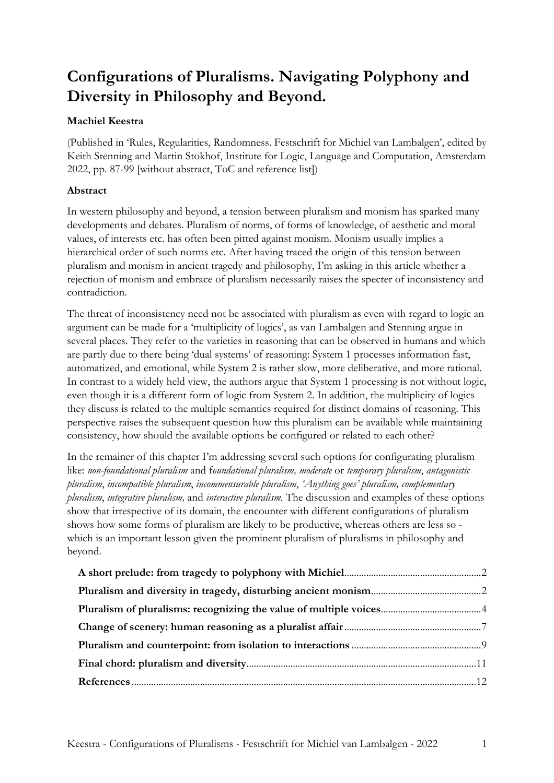# **Configurations of Pluralisms. Navigating Polyphony and Diversity in Philosophy and Beyond.**

# **Machiel Keestra**

(Published in 'Rules, Regularities, Randomness. Festschrift for Michiel van Lambalgen', edited by Keith Stenning and Martin Stokhof, Institute for Logic, Language and Computation, Amsterdam 2022, pp. 87-99 [without abstract, ToC and reference list])

# **Abstract**

In western philosophy and beyond, a tension between pluralism and monism has sparked many developments and debates. Pluralism of norms, of forms of knowledge, of aesthetic and moral values, of interests etc. has often been pitted against monism. Monism usually implies a hierarchical order of such norms etc. After having traced the origin of this tension between pluralism and monism in ancient tragedy and philosophy, I'm asking in this article whether a rejection of monism and embrace of pluralism necessarily raises the specter of inconsistency and contradiction.

The threat of inconsistency need not be associated with pluralism as even with regard to logic an argument can be made for a 'multiplicity of logics', as van Lambalgen and Stenning argue in several places. They refer to the varieties in reasoning that can be observed in humans and which are partly due to there being 'dual systems' of reasoning: System 1 processes information fast, automatized, and emotional, while System 2 is rather slow, more deliberative, and more rational. In contrast to a widely held view, the authors argue that System 1 processing is not without logic, even though it is a different form of logic from System 2. In addition, the multiplicity of logics they discuss is related to the multiple semantics required for distinct domains of reasoning. This perspective raises the subsequent question how this pluralism can be available while maintaining consistency, how should the available options be configured or related to each other?

In the remainer of this chapter I'm addressing several such options for configurating pluralism like: *non-foundational pluralism* and f*oundational pluralism, moderate* or *temporary pluralism*, *antagonistic pluralism*, *incompatible pluralism*, *incommensurable pluralism*, *'Anything goes' pluralism, complementary pluralism*, *integrative pluralism,* and *interactive pluralism.* The discussion and examples of these options show that irrespective of its domain, the encounter with different configurations of pluralism shows how some forms of pluralism are likely to be productive, whereas others are less so which is an important lesson given the prominent pluralism of pluralisms in philosophy and beyond.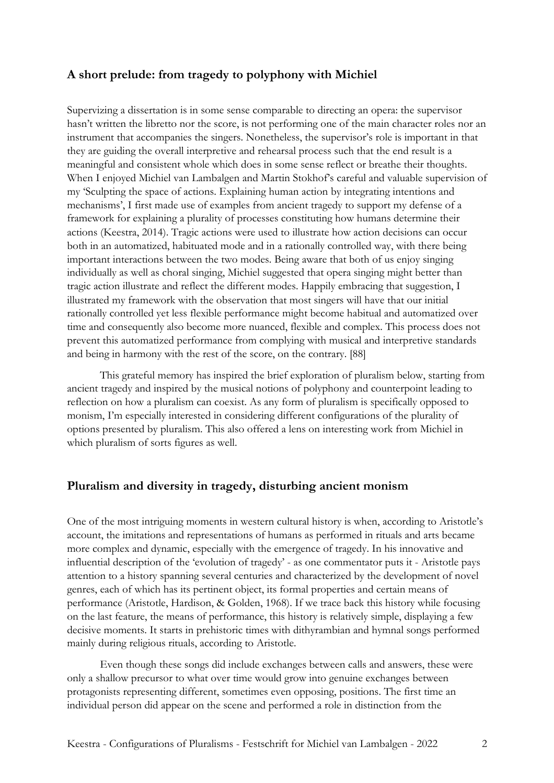## **A short prelude: from tragedy to polyphony with Michiel**

Supervizing a dissertation is in some sense comparable to directing an opera: the supervisor hasn't written the libretto nor the score, is not performing one of the main character roles nor an instrument that accompanies the singers. Nonetheless, the supervisor's role is important in that they are guiding the overall interpretive and rehearsal process such that the end result is a meaningful and consistent whole which does in some sense reflect or breathe their thoughts. When I enjoyed Michiel van Lambalgen and Martin Stokhof's careful and valuable supervision of my 'Sculpting the space of actions. Explaining human action by integrating intentions and mechanisms', I first made use of examples from ancient tragedy to support my defense of a framework for explaining a plurality of processes constituting how humans determine their actions (Keestra, 2014). Tragic actions were used to illustrate how action decisions can occur both in an automatized, habituated mode and in a rationally controlled way, with there being important interactions between the two modes. Being aware that both of us enjoy singing individually as well as choral singing, Michiel suggested that opera singing might better than tragic action illustrate and reflect the different modes. Happily embracing that suggestion, I illustrated my framework with the observation that most singers will have that our initial rationally controlled yet less flexible performance might become habitual and automatized over time and consequently also become more nuanced, flexible and complex. This process does not prevent this automatized performance from complying with musical and interpretive standards and being in harmony with the rest of the score, on the contrary. [88]

This grateful memory has inspired the brief exploration of pluralism below, starting from ancient tragedy and inspired by the musical notions of polyphony and counterpoint leading to reflection on how a pluralism can coexist. As any form of pluralism is specifically opposed to monism, I'm especially interested in considering different configurations of the plurality of options presented by pluralism. This also offered a lens on interesting work from Michiel in which pluralism of sorts figures as well.

#### **Pluralism and diversity in tragedy, disturbing ancient monism**

One of the most intriguing moments in western cultural history is when, according to Aristotle's account, the imitations and representations of humans as performed in rituals and arts became more complex and dynamic, especially with the emergence of tragedy. In his innovative and influential description of the 'evolution of tragedy' - as one commentator puts it - Aristotle pays attention to a history spanning several centuries and characterized by the development of novel genres, each of which has its pertinent object, its formal properties and certain means of performance (Aristotle, Hardison, & Golden, 1968). If we trace back this history while focusing on the last feature, the means of performance, this history is relatively simple, displaying a few decisive moments. It starts in prehistoric times with dithyrambian and hymnal songs performed mainly during religious rituals, according to Aristotle.

Even though these songs did include exchanges between calls and answers, these were only a shallow precursor to what over time would grow into genuine exchanges between protagonists representing different, sometimes even opposing, positions. The first time an individual person did appear on the scene and performed a role in distinction from the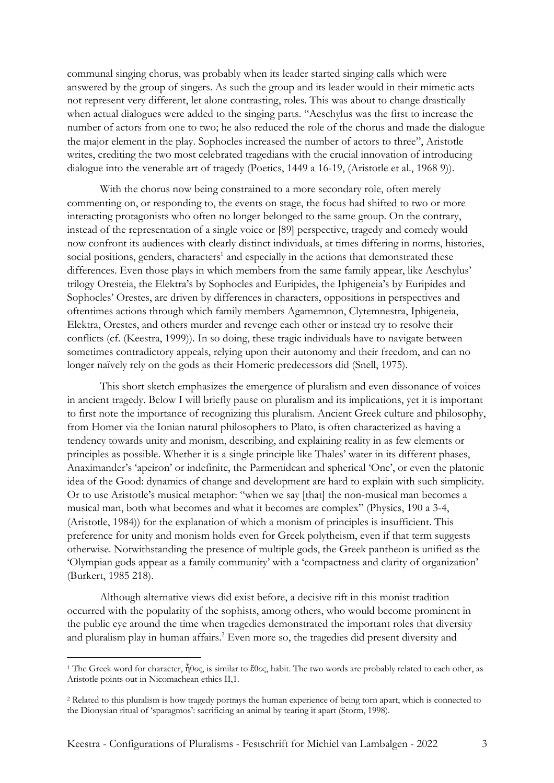communal singing chorus, was probably when its leader started singing calls which were answered by the group of singers. As such the group and its leader would in their mimetic acts not represent very different, let alone contrasting, roles. This was about to change drastically when actual dialogues were added to the singing parts. "Aeschylus was the first to increase the number of actors from one to two; he also reduced the role of the chorus and made the dialogue the major element in the play. Sophocles increased the number of actors to three", Aristotle writes, crediting the two most celebrated tragedians with the crucial innovation of introducing dialogue into the venerable art of tragedy (Poetics, 1449 a 16-19, (Aristotle et al., 1968 9)).

With the chorus now being constrained to a more secondary role, often merely commenting on, or responding to, the events on stage, the focus had shifted to two or more interacting protagonists who often no longer belonged to the same group. On the contrary, instead of the representation of a single voice or [89] perspective, tragedy and comedy would now confront its audiences with clearly distinct individuals, at times differing in norms, histories, social positions, genders, characters<sup>1</sup> and especially in the actions that demonstrated these differences. Even those plays in which members from the same family appear, like Aeschylus' trilogy Oresteia, the Elektra's by Sophocles and Euripides, the Iphigeneia's by Euripides and Sophocles' Orestes, are driven by differences in characters, oppositions in perspectives and oftentimes actions through which family members Agamemnon, Clytemnestra, Iphigeneia, Elektra, Orestes, and others murder and revenge each other or instead try to resolve their conflicts (cf. (Keestra, 1999)). In so doing, these tragic individuals have to navigate between sometimes contradictory appeals, relying upon their autonomy and their freedom, and can no longer naïvely rely on the gods as their Homeric predecessors did (Snell, 1975).

This short sketch emphasizes the emergence of pluralism and even dissonance of voices in ancient tragedy. Below I will briefly pause on pluralism and its implications, yet it is important to first note the importance of recognizing this pluralism. Ancient Greek culture and philosophy, from Homer via the Ionian natural philosophers to Plato, is often characterized as having a tendency towards unity and monism, describing, and explaining reality in as few elements or principles as possible. Whether it is a single principle like Thales' water in its different phases, Anaximander's 'apeiron' or indefinite, the Parmenidean and spherical 'One', or even the platonic idea of the Good: dynamics of change and development are hard to explain with such simplicity. Or to use Aristotle's musical metaphor: "when we say [that] the non-musical man becomes a musical man, both what becomes and what it becomes are complex" (Physics, 190 a 3-4, (Aristotle, 1984)) for the explanation of which a monism of principles is insufficient. This preference for unity and monism holds even for Greek polytheism, even if that term suggests otherwise. Notwithstanding the presence of multiple gods, the Greek pantheon is unified as the 'Olympian gods appear as a family community' with a 'compactness and clarity of organization' (Burkert, 1985 218).

Although alternative views did exist before, a decisive rift in this monist tradition occurred with the popularity of the sophists, among others, who would become prominent in the public eye around the time when tragedies demonstrated the important roles that diversity and pluralism play in human affairs.<sup>2</sup> Even more so, the tragedies did present diversity and

<sup>&</sup>lt;sup>1</sup> The Greek word for character,  $\tilde{\eta}$ θος, is similar to έθος, habit. The two words are probably related to each other, as Aristotle points out in Nicomachean ethics II,1.

<sup>2</sup> Related to this pluralism is how tragedy portrays the human experience of being torn apart, which is connected to the Dionysian ritual of 'sparagmos': sacrificing an animal by tearing it apart (Storm, 1998).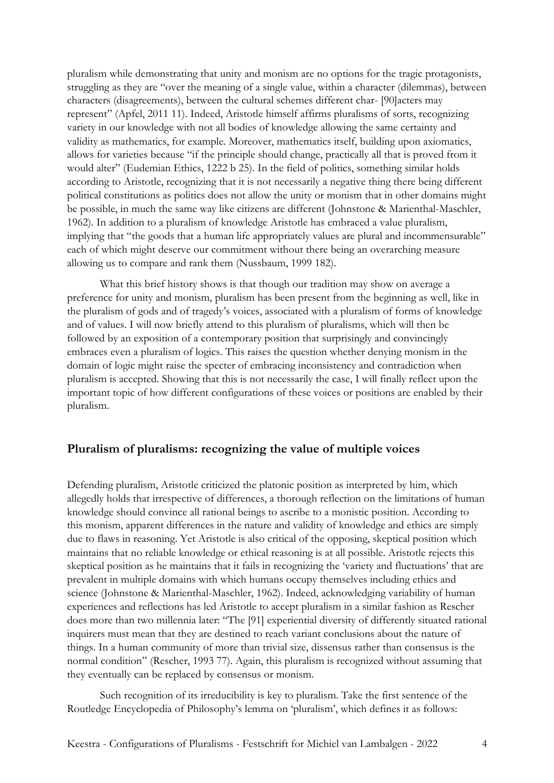pluralism while demonstrating that unity and monism are no options for the tragic protagonists, struggling as they are "over the meaning of a single value, within a character (dilemmas), between characters (disagreements), between the cultural schemes different char- [90]acters may represent" (Apfel, 2011 11). Indeed, Aristotle himself affirms pluralisms of sorts, recognizing variety in our knowledge with not all bodies of knowledge allowing the same certainty and validity as mathematics, for example. Moreover, mathematics itself, building upon axiomatics, allows for varieties because "if the principle should change, practically all that is proved from it would alter" (Eudemian Ethics, 1222 b 25). In the field of politics, something similar holds according to Aristotle, recognizing that it is not necessarily a negative thing there being different political constitutions as politics does not allow the unity or monism that in other domains might be possible, in much the same way like citizens are different (Johnstone & Marienthal-Maschler, 1962). In addition to a pluralism of knowledge Aristotle has embraced a value pluralism, implying that "the goods that a human life appropriately values are plural and incommensurable" each of which might deserve our commitment without there being an overarching measure allowing us to compare and rank them (Nussbaum, 1999 182).

What this brief history shows is that though our tradition may show on average a preference for unity and monism, pluralism has been present from the beginning as well, like in the pluralism of gods and of tragedy's voices, associated with a pluralism of forms of knowledge and of values. I will now briefly attend to this pluralism of pluralisms, which will then be followed by an exposition of a contemporary position that surprisingly and convincingly embraces even a pluralism of logics. This raises the question whether denying monism in the domain of logic might raise the specter of embracing inconsistency and contradiction when pluralism is accepted. Showing that this is not necessarily the case, I will finally reflect upon the important topic of how different configurations of these voices or positions are enabled by their pluralism.

## **Pluralism of pluralisms: recognizing the value of multiple voices**

Defending pluralism, Aristotle criticized the platonic position as interpreted by him, which allegedly holds that irrespective of differences, a thorough reflection on the limitations of human knowledge should convince all rational beings to ascribe to a monistic position. According to this monism, apparent differences in the nature and validity of knowledge and ethics are simply due to flaws in reasoning. Yet Aristotle is also critical of the opposing, skeptical position which maintains that no reliable knowledge or ethical reasoning is at all possible. Aristotle rejects this skeptical position as he maintains that it fails in recognizing the 'variety and fluctuations' that are prevalent in multiple domains with which humans occupy themselves including ethics and science (Johnstone & Marienthal-Maschler, 1962). Indeed, acknowledging variability of human experiences and reflections has led Aristotle to accept pluralism in a similar fashion as Rescher does more than two millennia later: "The [91] experiential diversity of differently situated rational inquirers must mean that they are destined to reach variant conclusions about the nature of things. In a human community of more than trivial size, dissensus rather than consensus is the normal condition" (Rescher, 1993 77). Again, this pluralism is recognized without assuming that they eventually can be replaced by consensus or monism.

Such recognition of its irreducibility is key to pluralism. Take the first sentence of the Routledge Encyclopedia of Philosophy's lemma on 'pluralism', which defines it as follows: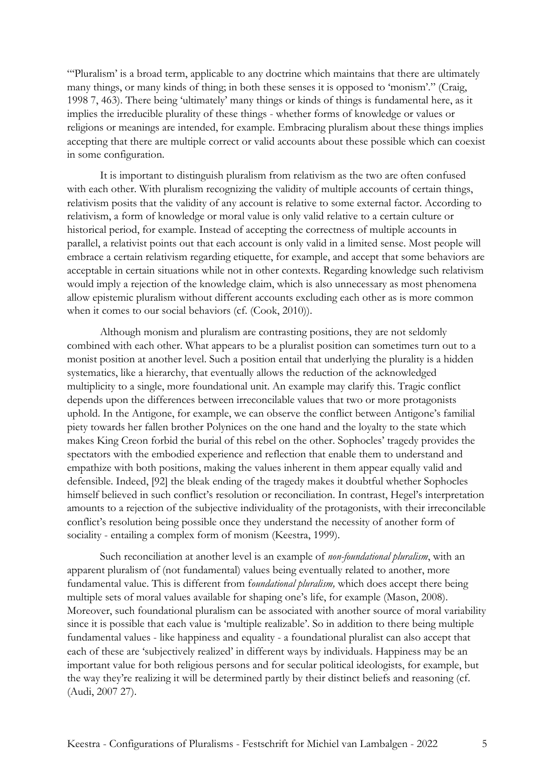"'Pluralism' is a broad term, applicable to any doctrine which maintains that there are ultimately many things, or many kinds of thing; in both these senses it is opposed to 'monism'." (Craig, 1998 7, 463). There being 'ultimately' many things or kinds of things is fundamental here, as it implies the irreducible plurality of these things - whether forms of knowledge or values or religions or meanings are intended, for example. Embracing pluralism about these things implies accepting that there are multiple correct or valid accounts about these possible which can coexist in some configuration.

It is important to distinguish pluralism from relativism as the two are often confused with each other. With pluralism recognizing the validity of multiple accounts of certain things, relativism posits that the validity of any account is relative to some external factor. According to relativism, a form of knowledge or moral value is only valid relative to a certain culture or historical period, for example. Instead of accepting the correctness of multiple accounts in parallel, a relativist points out that each account is only valid in a limited sense. Most people will embrace a certain relativism regarding etiquette, for example, and accept that some behaviors are acceptable in certain situations while not in other contexts. Regarding knowledge such relativism would imply a rejection of the knowledge claim, which is also unnecessary as most phenomena allow epistemic pluralism without different accounts excluding each other as is more common when it comes to our social behaviors (cf. (Cook, 2010)).

Although monism and pluralism are contrasting positions, they are not seldomly combined with each other. What appears to be a pluralist position can sometimes turn out to a monist position at another level. Such a position entail that underlying the plurality is a hidden systematics, like a hierarchy, that eventually allows the reduction of the acknowledged multiplicity to a single, more foundational unit. An example may clarify this. Tragic conflict depends upon the differences between irreconcilable values that two or more protagonists uphold. In the Antigone, for example, we can observe the conflict between Antigone's familial piety towards her fallen brother Polynices on the one hand and the loyalty to the state which makes King Creon forbid the burial of this rebel on the other. Sophocles' tragedy provides the spectators with the embodied experience and reflection that enable them to understand and empathize with both positions, making the values inherent in them appear equally valid and defensible. Indeed, [92] the bleak ending of the tragedy makes it doubtful whether Sophocles himself believed in such conflict's resolution or reconciliation. In contrast, Hegel's interpretation amounts to a rejection of the subjective individuality of the protagonists, with their irreconcilable conflict's resolution being possible once they understand the necessity of another form of sociality - entailing a complex form of monism (Keestra, 1999).

Such reconciliation at another level is an example of *non-foundational pluralism*, with an apparent pluralism of (not fundamental) values being eventually related to another, more fundamental value. This is different from f*oundational pluralism,* which does accept there being multiple sets of moral values available for shaping one's life, for example (Mason, 2008). Moreover, such foundational pluralism can be associated with another source of moral variability since it is possible that each value is 'multiple realizable'. So in addition to there being multiple fundamental values - like happiness and equality - a foundational pluralist can also accept that each of these are 'subjectively realized' in different ways by individuals. Happiness may be an important value for both religious persons and for secular political ideologists, for example, but the way they're realizing it will be determined partly by their distinct beliefs and reasoning (cf. (Audi, 2007 27).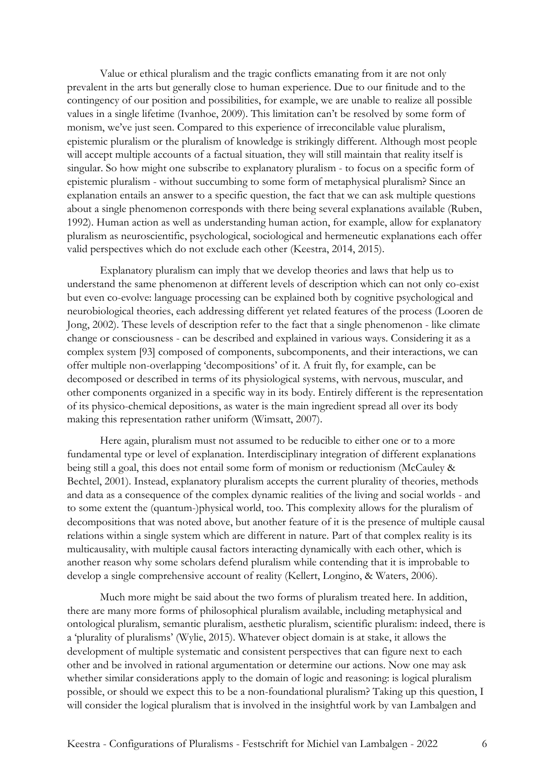Value or ethical pluralism and the tragic conflicts emanating from it are not only prevalent in the arts but generally close to human experience. Due to our finitude and to the contingency of our position and possibilities, for example, we are unable to realize all possible values in a single lifetime (Ivanhoe, 2009). This limitation can't be resolved by some form of monism, we've just seen. Compared to this experience of irreconcilable value pluralism, epistemic pluralism or the pluralism of knowledge is strikingly different. Although most people will accept multiple accounts of a factual situation, they will still maintain that reality itself is singular. So how might one subscribe to explanatory pluralism - to focus on a specific form of epistemic pluralism - without succumbing to some form of metaphysical pluralism? Since an explanation entails an answer to a specific question, the fact that we can ask multiple questions about a single phenomenon corresponds with there being several explanations available (Ruben, 1992). Human action as well as understanding human action, for example, allow for explanatory pluralism as neuroscientific, psychological, sociological and hermeneutic explanations each offer valid perspectives which do not exclude each other (Keestra, 2014, 2015).

Explanatory pluralism can imply that we develop theories and laws that help us to understand the same phenomenon at different levels of description which can not only co-exist but even co-evolve: language processing can be explained both by cognitive psychological and neurobiological theories, each addressing different yet related features of the process (Looren de Jong, 2002). These levels of description refer to the fact that a single phenomenon - like climate change or consciousness - can be described and explained in various ways. Considering it as a complex system [93] composed of components, subcomponents, and their interactions, we can offer multiple non-overlapping 'decompositions' of it. A fruit fly, for example, can be decomposed or described in terms of its physiological systems, with nervous, muscular, and other components organized in a specific way in its body. Entirely different is the representation of its physico-chemical depositions, as water is the main ingredient spread all over its body making this representation rather uniform (Wimsatt, 2007).

Here again, pluralism must not assumed to be reducible to either one or to a more fundamental type or level of explanation. Interdisciplinary integration of different explanations being still a goal, this does not entail some form of monism or reductionism (McCauley & Bechtel, 2001). Instead, explanatory pluralism accepts the current plurality of theories, methods and data as a consequence of the complex dynamic realities of the living and social worlds - and to some extent the (quantum-)physical world, too. This complexity allows for the pluralism of decompositions that was noted above, but another feature of it is the presence of multiple causal relations within a single system which are different in nature. Part of that complex reality is its multicausality, with multiple causal factors interacting dynamically with each other, which is another reason why some scholars defend pluralism while contending that it is improbable to develop a single comprehensive account of reality (Kellert, Longino, & Waters, 2006).

Much more might be said about the two forms of pluralism treated here. In addition, there are many more forms of philosophical pluralism available, including metaphysical and ontological pluralism, semantic pluralism, aesthetic pluralism, scientific pluralism: indeed, there is a 'plurality of pluralisms' (Wylie, 2015). Whatever object domain is at stake, it allows the development of multiple systematic and consistent perspectives that can figure next to each other and be involved in rational argumentation or determine our actions. Now one may ask whether similar considerations apply to the domain of logic and reasoning: is logical pluralism possible, or should we expect this to be a non-foundational pluralism? Taking up this question, I will consider the logical pluralism that is involved in the insightful work by van Lambalgen and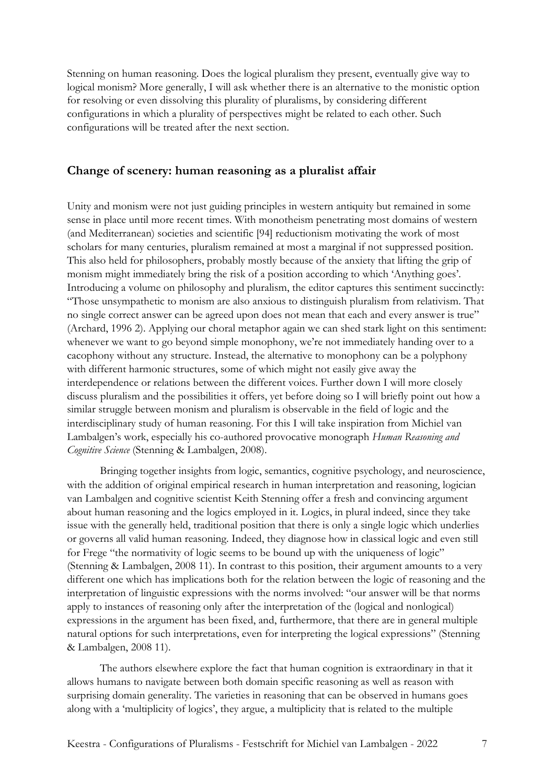Stenning on human reasoning. Does the logical pluralism they present, eventually give way to logical monism? More generally, I will ask whether there is an alternative to the monistic option for resolving or even dissolving this plurality of pluralisms, by considering different configurations in which a plurality of perspectives might be related to each other. Such configurations will be treated after the next section.

### **Change of scenery: human reasoning as a pluralist affair**

Unity and monism were not just guiding principles in western antiquity but remained in some sense in place until more recent times. With monotheism penetrating most domains of western (and Mediterranean) societies and scientific [94] reductionism motivating the work of most scholars for many centuries, pluralism remained at most a marginal if not suppressed position. This also held for philosophers, probably mostly because of the anxiety that lifting the grip of monism might immediately bring the risk of a position according to which 'Anything goes'. Introducing a volume on philosophy and pluralism, the editor captures this sentiment succinctly: "Those unsympathetic to monism are also anxious to distinguish pluralism from relativism. That no single correct answer can be agreed upon does not mean that each and every answer is true" (Archard, 1996 2). Applying our choral metaphor again we can shed stark light on this sentiment: whenever we want to go beyond simple monophony, we're not immediately handing over to a cacophony without any structure. Instead, the alternative to monophony can be a polyphony with different harmonic structures, some of which might not easily give away the interdependence or relations between the different voices. Further down I will more closely discuss pluralism and the possibilities it offers, yet before doing so I will briefly point out how a similar struggle between monism and pluralism is observable in the field of logic and the interdisciplinary study of human reasoning. For this I will take inspiration from Michiel van Lambalgen's work, especially his co-authored provocative monograph *Human Reasoning and Cognitive Science* (Stenning & Lambalgen, 2008).

Bringing together insights from logic, semantics, cognitive psychology, and neuroscience, with the addition of original empirical research in human interpretation and reasoning, logician van Lambalgen and cognitive scientist Keith Stenning offer a fresh and convincing argument about human reasoning and the logics employed in it. Logics, in plural indeed, since they take issue with the generally held, traditional position that there is only a single logic which underlies or governs all valid human reasoning. Indeed, they diagnose how in classical logic and even still for Frege "the normativity of logic seems to be bound up with the uniqueness of logic" (Stenning & Lambalgen, 2008 11). In contrast to this position, their argument amounts to a very different one which has implications both for the relation between the logic of reasoning and the interpretation of linguistic expressions with the norms involved: "our answer will be that norms apply to instances of reasoning only after the interpretation of the (logical and nonlogical) expressions in the argument has been fixed, and, furthermore, that there are in general multiple natural options for such interpretations, even for interpreting the logical expressions" (Stenning & Lambalgen, 2008 11).

The authors elsewhere explore the fact that human cognition is extraordinary in that it allows humans to navigate between both domain specific reasoning as well as reason with surprising domain generality. The varieties in reasoning that can be observed in humans goes along with a 'multiplicity of logics', they argue, a multiplicity that is related to the multiple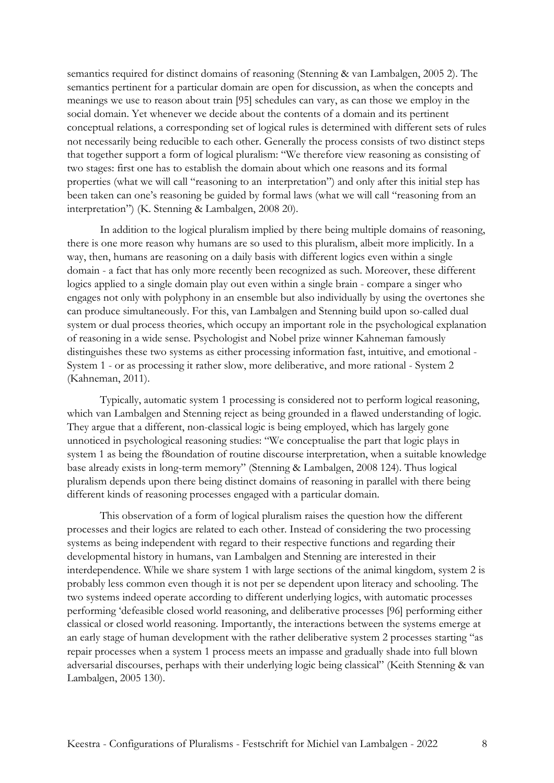semantics required for distinct domains of reasoning (Stenning & van Lambalgen, 2005 2). The semantics pertinent for a particular domain are open for discussion, as when the concepts and meanings we use to reason about train [95] schedules can vary, as can those we employ in the social domain. Yet whenever we decide about the contents of a domain and its pertinent conceptual relations, a corresponding set of logical rules is determined with different sets of rules not necessarily being reducible to each other. Generally the process consists of two distinct steps that together support a form of logical pluralism: "We therefore view reasoning as consisting of two stages: first one has to establish the domain about which one reasons and its formal properties (what we will call "reasoning to an interpretation") and only after this initial step has been taken can one's reasoning be guided by formal laws (what we will call "reasoning from an interpretation") (K. Stenning & Lambalgen, 2008 20).

In addition to the logical pluralism implied by there being multiple domains of reasoning, there is one more reason why humans are so used to this pluralism, albeit more implicitly. In a way, then, humans are reasoning on a daily basis with different logics even within a single domain - a fact that has only more recently been recognized as such. Moreover, these different logics applied to a single domain play out even within a single brain - compare a singer who engages not only with polyphony in an ensemble but also individually by using the overtones she can produce simultaneously. For this, van Lambalgen and Stenning build upon so-called dual system or dual process theories, which occupy an important role in the psychological explanation of reasoning in a wide sense. Psychologist and Nobel prize winner Kahneman famously distinguishes these two systems as either processing information fast, intuitive, and emotional - System 1 - or as processing it rather slow, more deliberative, and more rational - System 2 (Kahneman, 2011).

Typically, automatic system 1 processing is considered not to perform logical reasoning, which van Lambalgen and Stenning reject as being grounded in a flawed understanding of logic. They argue that a different, non-classical logic is being employed, which has largely gone unnoticed in psychological reasoning studies: "We conceptualise the part that logic plays in system 1 as being the f8oundation of routine discourse interpretation, when a suitable knowledge base already exists in long-term memory" (Stenning & Lambalgen, 2008 124). Thus logical pluralism depends upon there being distinct domains of reasoning in parallel with there being different kinds of reasoning processes engaged with a particular domain.

This observation of a form of logical pluralism raises the question how the different processes and their logics are related to each other. Instead of considering the two processing systems as being independent with regard to their respective functions and regarding their developmental history in humans, van Lambalgen and Stenning are interested in their interdependence. While we share system 1 with large sections of the animal kingdom, system 2 is probably less common even though it is not per se dependent upon literacy and schooling. The two systems indeed operate according to different underlying logics, with automatic processes performing 'defeasible closed world reasoning, and deliberative processes [96] performing either classical or closed world reasoning. Importantly, the interactions between the systems emerge at an early stage of human development with the rather deliberative system 2 processes starting "as repair processes when a system 1 process meets an impasse and gradually shade into full blown adversarial discourses, perhaps with their underlying logic being classical" (Keith Stenning & van Lambalgen, 2005 130).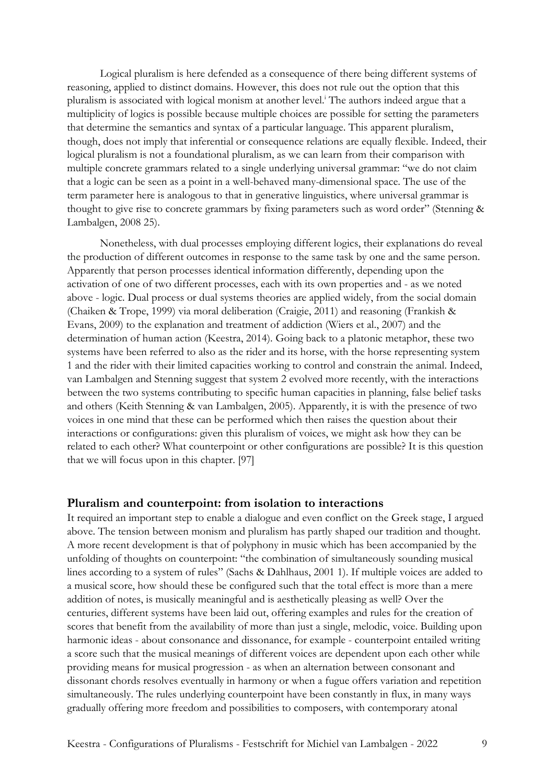Logical pluralism is here defended as a consequence of there being different systems of reasoning, applied to distinct domains. However, this does not rule out the option that this pluralism is associated with logical monism at another level.<sup>1</sup> The authors indeed argue that a multiplicity of logics is possible because multiple choices are possible for setting the parameters that determine the semantics and syntax of a particular language. This apparent pluralism, though, does not imply that inferential or consequence relations are equally flexible. Indeed, their logical pluralism is not a foundational pluralism, as we can learn from their comparison with multiple concrete grammars related to a single underlying universal grammar: "we do not claim that a logic can be seen as a point in a well-behaved many-dimensional space. The use of the term parameter here is analogous to that in generative linguistics, where universal grammar is thought to give rise to concrete grammars by fixing parameters such as word order" (Stenning & Lambalgen, 2008 25).

Nonetheless, with dual processes employing different logics, their explanations do reveal the production of different outcomes in response to the same task by one and the same person. Apparently that person processes identical information differently, depending upon the activation of one of two different processes, each with its own properties and - as we noted above - logic. Dual process or dual systems theories are applied widely, from the social domain (Chaiken & Trope, 1999) via moral deliberation (Craigie, 2011) and reasoning (Frankish & Evans, 2009) to the explanation and treatment of addiction (Wiers et al., 2007) and the determination of human action (Keestra, 2014). Going back to a platonic metaphor, these two systems have been referred to also as the rider and its horse, with the horse representing system 1 and the rider with their limited capacities working to control and constrain the animal. Indeed, van Lambalgen and Stenning suggest that system 2 evolved more recently, with the interactions between the two systems contributing to specific human capacities in planning, false belief tasks and others (Keith Stenning & van Lambalgen, 2005). Apparently, it is with the presence of two voices in one mind that these can be performed which then raises the question about their interactions or configurations: given this pluralism of voices, we might ask how they can be related to each other? What counterpoint or other configurations are possible? It is this question that we will focus upon in this chapter. [97]

#### **Pluralism and counterpoint: from isolation to interactions**

It required an important step to enable a dialogue and even conflict on the Greek stage, I argued above. The tension between monism and pluralism has partly shaped our tradition and thought. A more recent development is that of polyphony in music which has been accompanied by the unfolding of thoughts on counterpoint: "the combination of simultaneously sounding musical lines according to a system of rules" (Sachs & Dahlhaus, 2001 1). If multiple voices are added to a musical score, how should these be configured such that the total effect is more than a mere addition of notes, is musically meaningful and is aesthetically pleasing as well? Over the centuries, different systems have been laid out, offering examples and rules for the creation of scores that benefit from the availability of more than just a single, melodic, voice. Building upon harmonic ideas - about consonance and dissonance, for example - counterpoint entailed writing a score such that the musical meanings of different voices are dependent upon each other while providing means for musical progression - as when an alternation between consonant and dissonant chords resolves eventually in harmony or when a fugue offers variation and repetition simultaneously. The rules underlying counterpoint have been constantly in flux, in many ways gradually offering more freedom and possibilities to composers, with contemporary atonal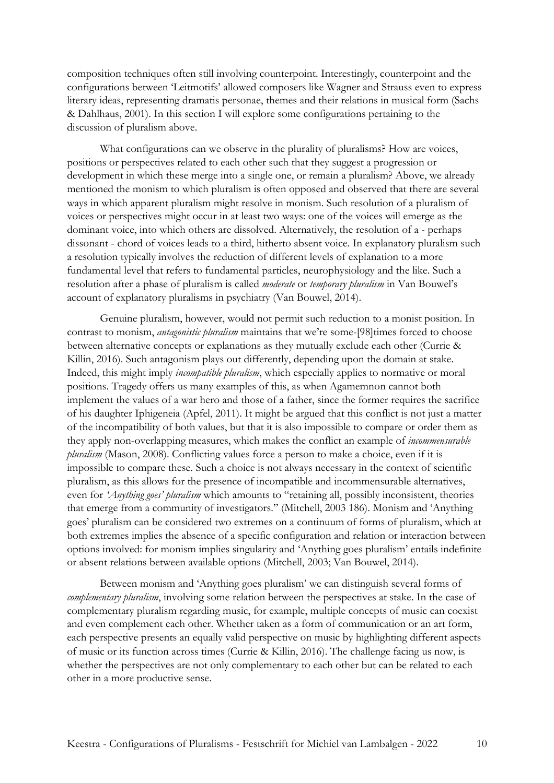composition techniques often still involving counterpoint. Interestingly, counterpoint and the configurations between 'Leitmotifs' allowed composers like Wagner and Strauss even to express literary ideas, representing dramatis personae, themes and their relations in musical form (Sachs & Dahlhaus, 2001). In this section I will explore some configurations pertaining to the discussion of pluralism above.

What configurations can we observe in the plurality of pluralisms? How are voices, positions or perspectives related to each other such that they suggest a progression or development in which these merge into a single one, or remain a pluralism? Above, we already mentioned the monism to which pluralism is often opposed and observed that there are several ways in which apparent pluralism might resolve in monism. Such resolution of a pluralism of voices or perspectives might occur in at least two ways: one of the voices will emerge as the dominant voice, into which others are dissolved. Alternatively, the resolution of a - perhaps dissonant - chord of voices leads to a third, hitherto absent voice. In explanatory pluralism such a resolution typically involves the reduction of different levels of explanation to a more fundamental level that refers to fundamental particles, neurophysiology and the like. Such a resolution after a phase of pluralism is called *moderate* or *temporary pluralism* in Van Bouwel's account of explanatory pluralisms in psychiatry (Van Bouwel, 2014).

Genuine pluralism, however, would not permit such reduction to a monist position. In contrast to monism, *antagonistic pluralism* maintains that we're some-[98]times forced to choose between alternative concepts or explanations as they mutually exclude each other (Currie & Killin, 2016). Such antagonism plays out differently, depending upon the domain at stake. Indeed, this might imply *incompatible pluralism*, which especially applies to normative or moral positions. Tragedy offers us many examples of this, as when Agamemnon cannot both implement the values of a war hero and those of a father, since the former requires the sacrifice of his daughter Iphigeneia (Apfel, 2011). It might be argued that this conflict is not just a matter of the incompatibility of both values, but that it is also impossible to compare or order them as they apply non-overlapping measures, which makes the conflict an example of *incommensurable pluralism* (Mason, 2008). Conflicting values force a person to make a choice, even if it is impossible to compare these. Such a choice is not always necessary in the context of scientific pluralism, as this allows for the presence of incompatible and incommensurable alternatives, even for *'Anything goes' pluralism* which amounts to "retaining all, possibly inconsistent, theories that emerge from a community of investigators." (Mitchell, 2003 186). Monism and 'Anything goes' pluralism can be considered two extremes on a continuum of forms of pluralism, which at both extremes implies the absence of a specific configuration and relation or interaction between options involved: for monism implies singularity and 'Anything goes pluralism' entails indefinite or absent relations between available options (Mitchell, 2003; Van Bouwel, 2014).

Between monism and 'Anything goes pluralism' we can distinguish several forms of *complementary pluralism*, involving some relation between the perspectives at stake. In the case of complementary pluralism regarding music, for example, multiple concepts of music can coexist and even complement each other. Whether taken as a form of communication or an art form, each perspective presents an equally valid perspective on music by highlighting different aspects of music or its function across times (Currie & Killin, 2016). The challenge facing us now, is whether the perspectives are not only complementary to each other but can be related to each other in a more productive sense.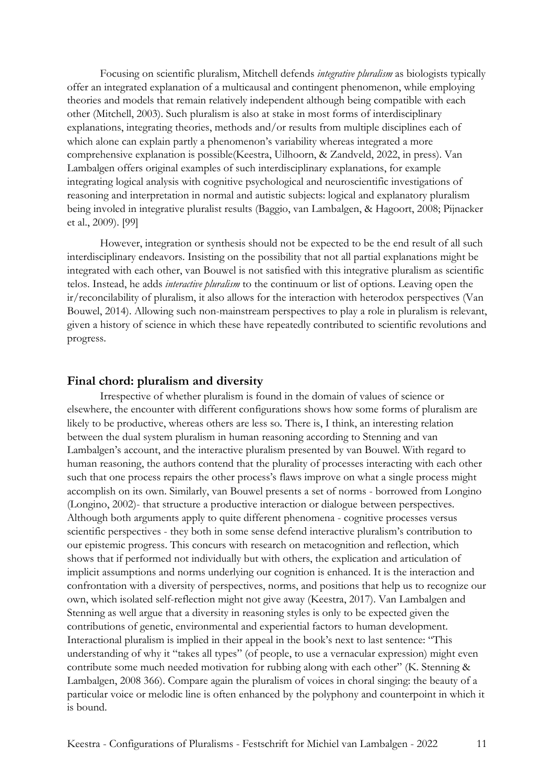Focusing on scientific pluralism, Mitchell defends *integrative pluralism* as biologists typically offer an integrated explanation of a multicausal and contingent phenomenon, while employing theories and models that remain relatively independent although being compatible with each other (Mitchell, 2003). Such pluralism is also at stake in most forms of interdisciplinary explanations, integrating theories, methods and/or results from multiple disciplines each of which alone can explain partly a phenomenon's variability whereas integrated a more comprehensive explanation is possible(Keestra, Uilhoorn, & Zandveld, 2022, in press). Van Lambalgen offers original examples of such interdisciplinary explanations, for example integrating logical analysis with cognitive psychological and neuroscientific investigations of reasoning and interpretation in normal and autistic subjects: logical and explanatory pluralism being involed in integrative pluralist results (Baggio, van Lambalgen, & Hagoort, 2008; Pijnacker et al., 2009). [99]

However, integration or synthesis should not be expected to be the end result of all such interdisciplinary endeavors. Insisting on the possibility that not all partial explanations might be integrated with each other, van Bouwel is not satisfied with this integrative pluralism as scientific telos. Instead, he adds *interactive pluralism* to the continuum or list of options. Leaving open the ir/reconcilability of pluralism, it also allows for the interaction with heterodox perspectives (Van Bouwel, 2014). Allowing such non-mainstream perspectives to play a role in pluralism is relevant, given a history of science in which these have repeatedly contributed to scientific revolutions and progress.

#### **Final chord: pluralism and diversity**

Irrespective of whether pluralism is found in the domain of values of science or elsewhere, the encounter with different configurations shows how some forms of pluralism are likely to be productive, whereas others are less so. There is, I think, an interesting relation between the dual system pluralism in human reasoning according to Stenning and van Lambalgen's account, and the interactive pluralism presented by van Bouwel. With regard to human reasoning, the authors contend that the plurality of processes interacting with each other such that one process repairs the other process's flaws improve on what a single process might accomplish on its own. Similarly, van Bouwel presents a set of norms - borrowed from Longino (Longino, 2002)- that structure a productive interaction or dialogue between perspectives. Although both arguments apply to quite different phenomena - cognitive processes versus scientific perspectives - they both in some sense defend interactive pluralism's contribution to our epistemic progress. This concurs with research on metacognition and reflection, which shows that if performed not individually but with others, the explication and articulation of implicit assumptions and norms underlying our cognition is enhanced. It is the interaction and confrontation with a diversity of perspectives, norms, and positions that help us to recognize our own, which isolated self-reflection might not give away (Keestra, 2017). Van Lambalgen and Stenning as well argue that a diversity in reasoning styles is only to be expected given the contributions of genetic, environmental and experiential factors to human development. Interactional pluralism is implied in their appeal in the book's next to last sentence: "This understanding of why it "takes all types" (of people, to use a vernacular expression) might even contribute some much needed motivation for rubbing along with each other" (K. Stenning & Lambalgen, 2008 366). Compare again the pluralism of voices in choral singing: the beauty of a particular voice or melodic line is often enhanced by the polyphony and counterpoint in which it is bound.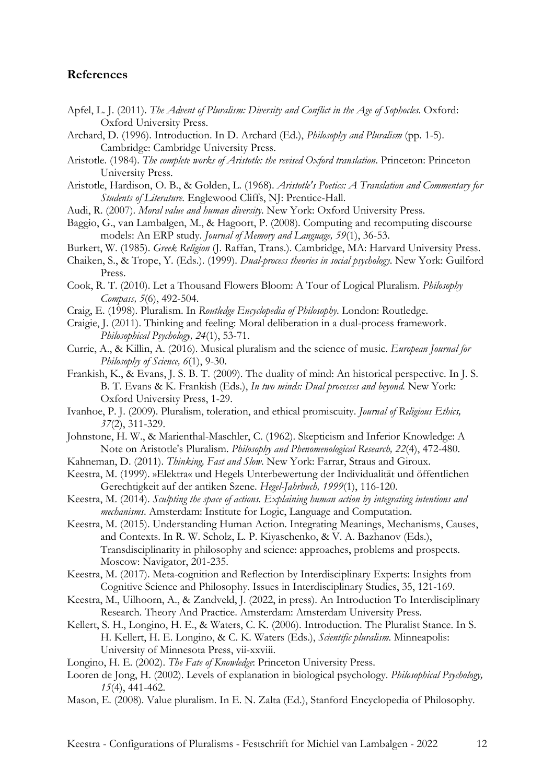### **References**

- Apfel, L. J. (2011). *The Advent of Pluralism: Diversity and Conflict in the Age of Sophocles*. Oxford: Oxford University Press.
- Archard, D. (1996). Introduction. In D. Archard (Ed.), *Philosophy and Pluralism* (pp. 1-5). Cambridge: Cambridge University Press.
- Aristotle. (1984). *The complete works of Aristotle: the revised Oxford translation*. Princeton: Princeton University Press.
- Aristotle, Hardison, O. B., & Golden, L. (1968). *Aristotle's Poetics: A Translation and Commentary for Students of Literature*. Englewood Cliffs, NJ: Prentice-Hall.
- Audi, R. (2007). *Moral value and human diversity*. New York: Oxford University Press.
- Baggio, G., van Lambalgen, M., & Hagoort, P. (2008). Computing and recomputing discourse models: An ERP study. *Journal of Memory and Language, 59*(1), 36-53.
- Burkert, W. (1985). *Greek Religion* (J. Raffan, Trans.). Cambridge, MA: Harvard University Press.
- Chaiken, S., & Trope, Y. (Eds.). (1999). *Dual-process theories in social psychology*. New York: Guilford Press.
- Cook, R. T. (2010). Let a Thousand Flowers Bloom: A Tour of Logical Pluralism. *Philosophy Compass, 5*(6), 492-504.
- Craig, E. (1998). Pluralism. In *Routledge Encyclopedia of Philosophy*. London: Routledge.
- Craigie, J. (2011). Thinking and feeling: Moral deliberation in a dual-process framework. *Philosophical Psychology, 24*(1), 53-71.
- Currie, A., & Killin, A. (2016). Musical pluralism and the science of music. *European Journal for Philosophy of Science, 6*(1), 9-30.
- Frankish, K., & Evans, J. S. B. T. (2009). The duality of mind: An historical perspective. In J. S. B. T. Evans & K. Frankish (Eds.), *In two minds: Dual processes and beyond.* New York: Oxford University Press, 1-29.
- Ivanhoe, P. J. (2009). Pluralism, toleration, and ethical promiscuity. *Journal of Religious Ethics, 37*(2), 311-329.
- Johnstone, H. W., & Marienthal-Maschler, C. (1962). Skepticism and Inferior Knowledge: A Note on Aristotle's Pluralism. *Philosophy and Phenomenological Research, 22*(4), 472-480.
- Kahneman, D. (2011). *Thinking, Fast and Slow*. New York: Farrar, Straus and Giroux.
- Keestra, M. (1999). »Elektra« und Hegels Unterbewertung der Individualität und öffentlichen Gerechtigkeit auf der antiken Szene. *Hegel-Jahrbuch, 1999*(1), 116-120.
- Keestra, M. (2014). *Sculpting the space of actions. Explaining human action by integrating intentions and mechanisms*. Amsterdam: Institute for Logic, Language and Computation.
- Keestra, M. (2015). Understanding Human Action. Integrating Meanings, Mechanisms, Causes, and Contexts. In R. W. Scholz, L. P. Kiyaschenko, & V. A. Bazhanov (Eds.), Transdisciplinarity in philosophy and science: approaches, problems and prospects. Moscow: Navigator, 201-235.
- Keestra, M. (2017). Meta-cognition and Reflection by Interdisciplinary Experts: Insights from Cognitive Science and Philosophy. Issues in Interdisciplinary Studies, 35, 121-169.
- Keestra, M., Uilhoorn, A., & Zandveld, J. (2022, in press). An Introduction To Interdisciplinary Research. Theory And Practice. Amsterdam: Amsterdam University Press.
- Kellert, S. H., Longino, H. E., & Waters, C. K. (2006). Introduction. The Pluralist Stance. In S. H. Kellert, H. E. Longino, & C. K. Waters (Eds.), *Scientific pluralism*. Minneapolis: University of Minnesota Press, vii-xxviii.
- Longino, H. E. (2002). *The Fate of Knowledge*: Princeton University Press.
- Looren de Jong, H. (2002). Levels of explanation in biological psychology. *Philosophical Psychology, 15*(4), 441-462.
- Mason, E. (2008). Value pluralism. In E. N. Zalta (Ed.), Stanford Encyclopedia of Philosophy.